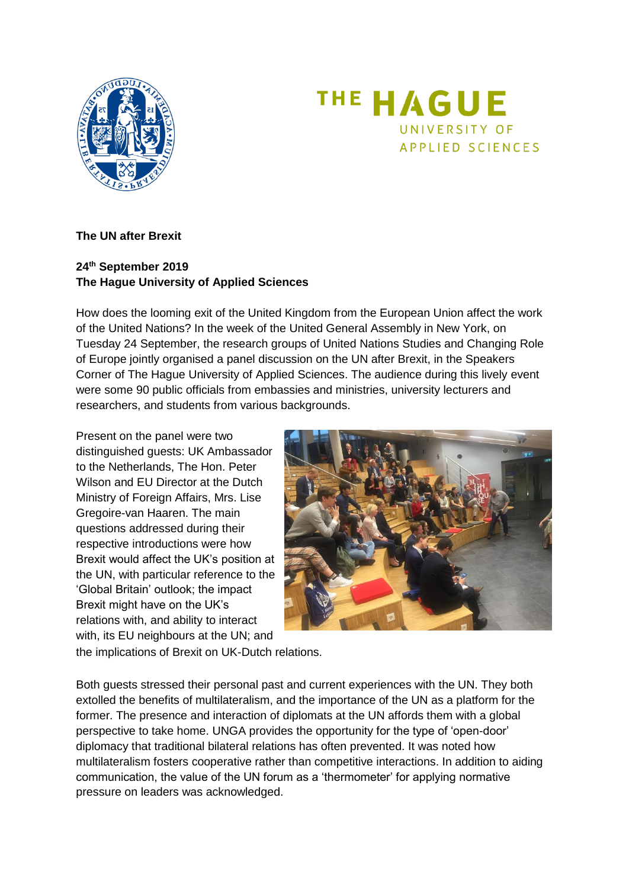



## **The UN after Brexit**

## **24th September 2019 The Hague University of Applied Sciences**

How does the looming exit of the United Kingdom from the European Union affect the work of the United Nations? In the week of the United General Assembly in New York, on Tuesday 24 September, the research groups of United Nations Studies and Changing Role of Europe jointly organised a panel discussion on the UN after Brexit, in the Speakers Corner of The Hague University of Applied Sciences. The audience during this lively event were some 90 public officials from embassies and ministries, university lecturers and researchers, and students from various backgrounds.

Present on the panel were two distinguished guests: UK Ambassador to the Netherlands, The Hon. Peter Wilson and EU Director at the Dutch Ministry of Foreign Affairs, Mrs. Lise Gregoire-van Haaren. The main questions addressed during their respective introductions were how Brexit would affect the UK's position at the UN, with particular reference to the 'Global Britain' outlook; the impact Brexit might have on the UK's relations with, and ability to interact with, its EU neighbours at the UN; and



the implications of Brexit on UK-Dutch relations.

Both guests stressed their personal past and current experiences with the UN. They both extolled the benefits of multilateralism, and the importance of the UN as a platform for the former. The presence and interaction of diplomats at the UN affords them with a global perspective to take home. UNGA provides the opportunity for the type of 'open-door' diplomacy that traditional bilateral relations has often prevented. It was noted how multilateralism fosters cooperative rather than competitive interactions. In addition to aiding communication, the value of the UN forum as a 'thermometer' for applying normative pressure on leaders was acknowledged.